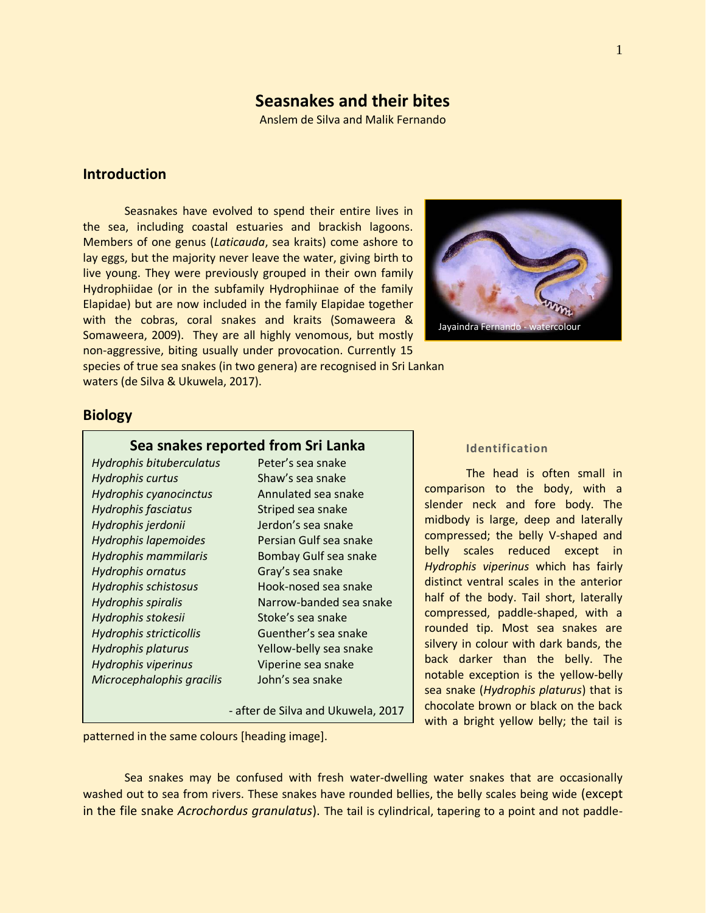# **Seasnakes and their bites**

Anslem de Silva and Malik Fernando

## **Introduction**

Seasnakes have evolved to spend their entire lives in the sea, including coastal estuaries and brackish lagoons. Members of one genus (*Laticauda*, sea kraits) come ashore to lay eggs, but the majority never leave the water, giving birth to live young. They were previously grouped in their own family Hydrophiidae (or in the subfamily Hydrophiinae of the family Elapidae) but are now included in the family Elapidae together with the cobras, coral snakes and kraits (Somaweera & Somaweera, 2009). They are all highly venomous, but mostly non-aggressive, biting usually under provocation. Currently 15



species of true sea snakes (in two genera) are recognised in Sri Lankan waters (de Silva & Ukuwela, 2017).

### **Biology**

#### **Sea snakes reported from Sri Lanka**

*Hydrophis bituberculatus* Peter's sea snake *Hydrophis curtus* Shaw's sea snake *Hydrophis cyanocinctus* Annulated sea snake *Hydrophis fasciatus* Striped sea snake *Hydrophis jerdonii* Jerdon's sea snake *Hydrophis lapemoides* Persian Gulf sea snake *Hydrophis mammilaris* Bombay Gulf sea snake *Hydrophis ornatus* Gray's sea snake *Hydrophis schistosus* Hook-nosed sea snake *Hydrophis spiralis* Narrow-banded sea snake *Hydrophis stokesii* Stoke's sea snake *Hydrophis stricticollis* Guenther's sea snake *Hydrophis platurus* Yellow-belly sea snake *Hydrophis viperinus* Viperine sea snake *Microcephalophis gracilis* John's sea snake

- after de Silva and Ukuwela, 2017

#### **Identification**

The head is often small in comparison to the body, with a slender neck and fore body. The midbody is large, deep and laterally compressed; the belly V-shaped and belly scales reduced except in *Hydrophis viperinus* which has fairly distinct ventral scales in the anterior half of the body. Tail short, laterally compressed, paddle-shaped, with a rounded tip. Most sea snakes are silvery in colour with dark bands, the back darker than the belly. The notable exception is the yellow-belly sea snake (*Hydrophis platurus*) that is chocolate brown or black on the back with a bright yellow belly; the tail is

patterned in the same colours [heading image].

Sea snakes may be confused with fresh water-dwelling water snakes that are occasionally washed out to sea from rivers. These snakes have rounded bellies, the belly scales being wide (except in the file snake *Acrochordus granulatus*). The tail is cylindrical, tapering to a point and not paddle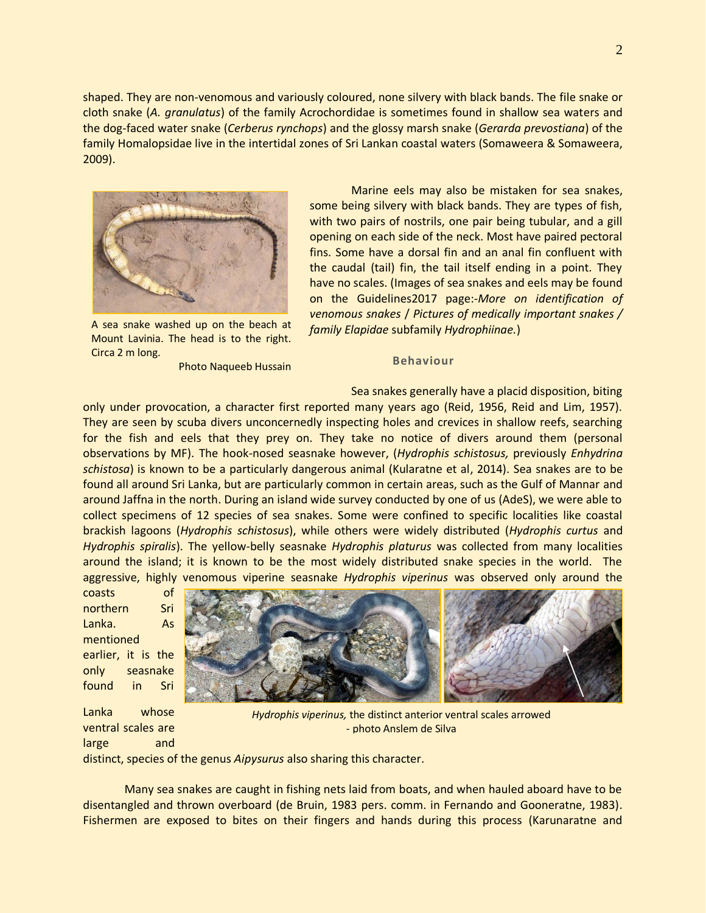shaped. They are non-venomous and variously coloured, none silvery with black bands. The file snake or cloth snake (*A. granulatus*) of the family Acrochordidae is sometimes found in shallow sea waters and the dog-faced water snake (*Cerberus rynchops*) and the glossy marsh snake (*Gerarda prevostiana*) of the family Homalopsidae live in the intertidal zones of Sri Lankan coastal waters (Somaweera & Somaweera, 2009).



A sea snake washed up on the beach at Mount Lavinia. The head is to the right. Circa 2 m long.

Photo Naqueeb Hussain

Marine eels may also be mistaken for sea snakes, some being silvery with black bands. They are types of fish, with two pairs of nostrils, one pair being tubular, and a gill opening on each side of the neck. Most have paired pectoral fins. Some have a dorsal fin and an anal fin confluent with the caudal (tail) fin, the tail itself ending in a point. They have no scales. (Images of sea snakes and eels may be found on the Guidelines2017 page:-*More on identification of venomous snakes* / *Pictures of medically important snakes / family Elapidae* subfamily *Hydrophiinae.*)

#### **Behaviour**

Sea snakes generally have a placid disposition, biting

only under provocation, a character first reported many years ago (Reid, 1956, Reid and Lim, 1957). They are seen by scuba divers unconcernedly inspecting holes and crevices in shallow reefs, searching for the fish and eels that they prey on. They take no notice of divers around them (personal observations by MF). The hook-nosed seasnake however, (*Hydrophis schistosus,* previously *Enhydrina schistosa*) is known to be a particularly dangerous animal (Kularatne et al, 2014). Sea snakes are to be found all around Sri Lanka, but are particularly common in certain areas, such as the Gulf of Mannar and around Jaffna in the north. During an island wide survey conducted by one of us (AdeS), we were able to collect specimens of 12 species of sea snakes. Some were confined to specific localities like coastal brackish lagoons (*Hydrophis schistosus*), while others were widely distributed (*Hydrophis curtus* and *Hydrophis spiralis*). The yellow-belly seasnake *Hydrophis platurus* was collected from many localities around the island; it is known to be the most widely distributed snake species in the world. The aggressive, highly venomous viperine seasnake *Hydrophis viperinus* was observed only around the

coasts of northern Sri Lanka. As mentioned earlier, it is the only seasnake found in Sri



Lanka whose ventral scales are large and distinct, species of the genus *Aipysurus* also sharing this character. *Hydrophis viperinus,* the distinct anterior ventral scales arrowed - photo Anslem de Silva

Many sea snakes are caught in fishing nets laid from boats, and when hauled aboard have to be disentangled and thrown overboard (de Bruin, 1983 pers. comm. in Fernando and Gooneratne, 1983). Fishermen are exposed to bites on their fingers and hands during this process (Karunaratne and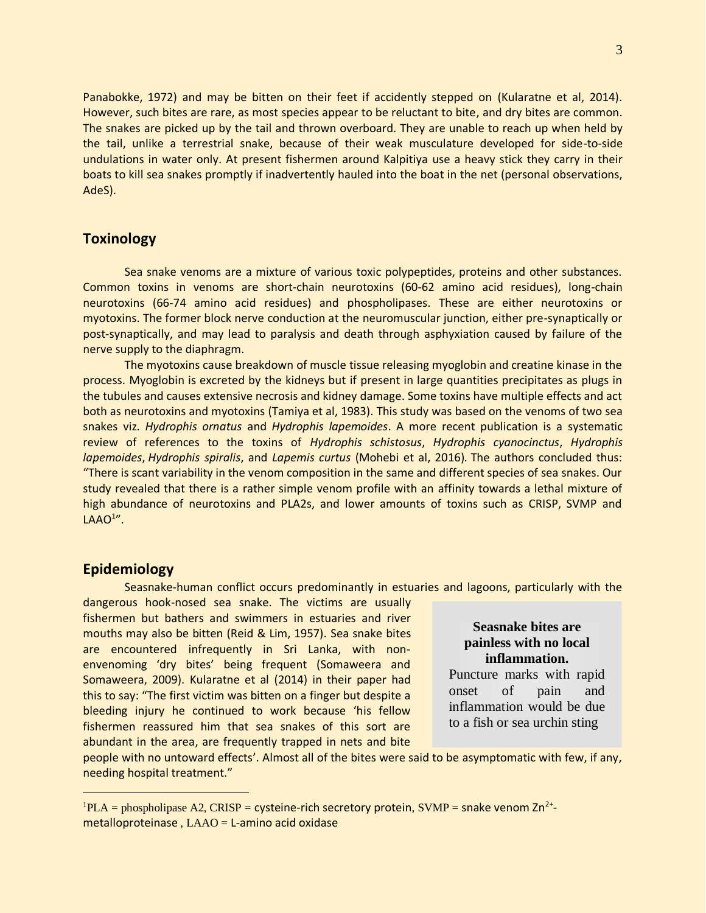Panabokke, 1972) and may be bitten on their feet if accidently stepped on (Kularatne et al, 2014). However, such bites are rare, as most species appear to be reluctant to bite, and dry bites are common. The snakes are picked up by the tail and thrown overboard. They are unable to reach up when held by the tail, unlike a terrestrial snake, because of their weak musculature developed for side-to-side undulations in water only. At present fishermen around Kalpitiya use a heavy stick they carry in their boats to kill sea snakes promptly if inadvertently hauled into the boat in the net (personal observations, AdeS).

## **Toxinology**

Sea snake venoms are a mixture of various toxic polypeptides, proteins and other substances. Common toxins in venoms are short-chain neurotoxins (60-62 amino acid residues), long-chain neurotoxins (66-74 amino acid residues) and phospholipases. These are either neurotoxins or myotoxins. The former block nerve conduction at the neuromuscular junction, either pre-synaptically or post-synaptically, and may lead to paralysis and death through asphyxiation caused by failure of the nerve supply to the diaphragm.

The myotoxins cause breakdown of muscle tissue releasing myoglobin and creatine kinase in the process. Myoglobin is excreted by the kidneys but if present in large quantities precipitates as plugs in the tubules and causes extensive necrosis and kidney damage. Some toxins have multiple effects and act both as neurotoxins and myotoxins (Tamiya et al, 1983). This study was based on the venoms of two sea snakes viz. *Hydrophis ornatus* and *Hydrophis lapemoides*. A more recent publication is a systematic review of references to the toxins of *Hydrophis schistosus*, *Hydrophis cyanocinctus*, *Hydrophis lapemoides*, *Hydrophis spiralis*, and *Lapemis curtus* (Mohebi et al, 2016)*.* The authors concluded thus: "There is scant variability in the venom composition in the same and different species of sea snakes. Our study revealed that there is a rather simple venom profile with an affinity towards a lethal mixture of high abundance of neurotoxins and PLA2s, and lower amounts of toxins such as CRISP, SVMP and  $LAAO<sup>1</sup>'$ .

#### **Epidemiology**

 $\overline{a}$ 

Seasnake-human conflict occurs predominantly in estuaries and lagoons, particularly with the

dangerous hook-nosed sea snake. The victims are usually fishermen but bathers and swimmers in estuaries and river mouths may also be bitten (Reid & Lim, 1957). Sea snake bites are encountered infrequently in Sri Lanka, with nonenvenoming 'dry bites' being frequent (Somaweera and Somaweera, 2009). Kularatne et al (2014) in their paper had this to say: "The first victim was bitten on a finger but despite a bleeding injury he continued to work because 'his fellow fishermen reassured him that sea snakes of this sort are abundant in the area, are frequently trapped in nets and bite

**Seasnake bites are painless with no local inflammation.**

Puncture marks with rapid onset of pain and inflammation would be due to a fish or sea urchin sting

people with no untoward effects'. Almost all of the bites were said to be asymptomatic with few, if any, needing hospital treatment."

 ${}^{1}$ PLA = phospholipase A2, CRISP = cysteine-rich secretory protein, SVMP = snake venom Zn<sup>2+</sup>metalloproteinase,  $LAAO = L$ -amino acid oxidase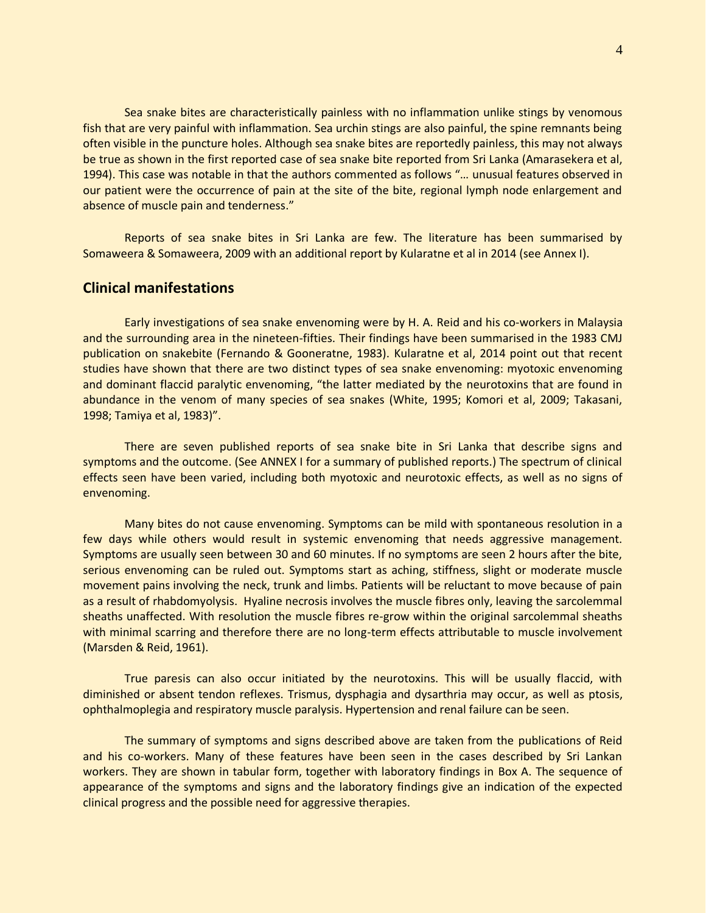Sea snake bites are characteristically painless with no inflammation unlike stings by venomous fish that are very painful with inflammation. Sea urchin stings are also painful, the spine remnants being often visible in the puncture holes. Although sea snake bites are reportedly painless, this may not always be true as shown in the first reported case of sea snake bite reported from Sri Lanka (Amarasekera et al, 1994). This case was notable in that the authors commented as follows "… unusual features observed in our patient were the occurrence of pain at the site of the bite, regional lymph node enlargement and absence of muscle pain and tenderness."

Reports of sea snake bites in Sri Lanka are few. The literature has been summarised by Somaweera & Somaweera, 2009 with an additional report by Kularatne et al in 2014 (see Annex I).

## **Clinical manifestations**

Early investigations of sea snake envenoming were by H. A. Reid and his co-workers in Malaysia and the surrounding area in the nineteen-fifties. Their findings have been summarised in the 1983 CMJ publication on snakebite (Fernando & Gooneratne, 1983). Kularatne et al, 2014 point out that recent studies have shown that there are two distinct types of sea snake envenoming: myotoxic envenoming and dominant flaccid paralytic envenoming, "the latter mediated by the neurotoxins that are found in abundance in the venom of many species of sea snakes (White, 1995; Komori et al, 2009; Takasani, 1998; Tamiya et al, 1983)".

There are seven published reports of sea snake bite in Sri Lanka that describe signs and symptoms and the outcome. (See ANNEX I for a summary of published reports.) The spectrum of clinical effects seen have been varied, including both myotoxic and neurotoxic effects, as well as no signs of envenoming.

Many bites do not cause envenoming. Symptoms can be mild with spontaneous resolution in a few days while others would result in systemic envenoming that needs aggressive management. Symptoms are usually seen between 30 and 60 minutes. If no symptoms are seen 2 hours after the bite, serious envenoming can be ruled out. Symptoms start as aching, stiffness, slight or moderate muscle movement pains involving the neck, trunk and limbs. Patients will be reluctant to move because of pain as a result of rhabdomyolysis. Hyaline necrosis involves the muscle fibres only, leaving the sarcolemmal sheaths unaffected. With resolution the muscle fibres re-grow within the original sarcolemmal sheaths with minimal scarring and therefore there are no long-term effects attributable to muscle involvement (Marsden & Reid, 1961).

True paresis can also occur initiated by the neurotoxins. This will be usually flaccid, with diminished or absent tendon reflexes. Trismus, dysphagia and dysarthria may occur, as well as ptosis, ophthalmoplegia and respiratory muscle paralysis. Hypertension and renal failure can be seen.

The summary of symptoms and signs described above are taken from the publications of Reid and his co-workers. Many of these features have been seen in the cases described by Sri Lankan workers. They are shown in tabular form, together with laboratory findings in Box A. The sequence of appearance of the symptoms and signs and the laboratory findings give an indication of the expected clinical progress and the possible need for aggressive therapies.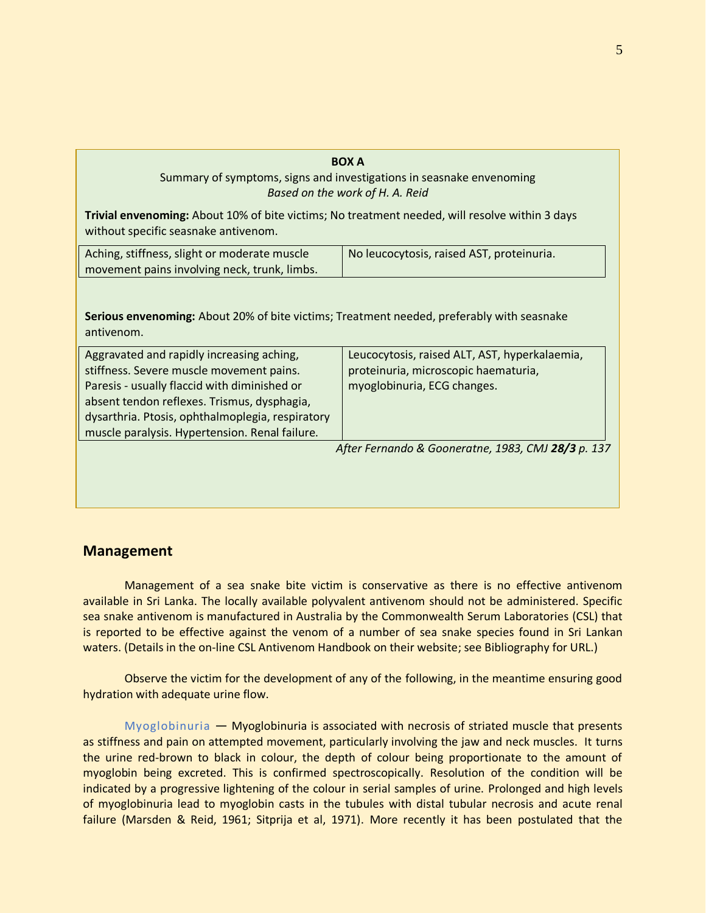# **BOX A** Summary of symptoms, signs and investigations in seasnake envenoming *Based on the work of H. A. Reid* **Trivial envenoming:** About 10% of bite victims; No treatment needed, will resolve within 3 days without specific seasnake antivenom. Aching, stiffness, slight or moderate muscle movement pains involving neck, trunk, limbs. No leucocytosis, raised AST, proteinuria.

**Serious envenoming:** About 20% of bite victims; Treatment needed, preferably with seasnake antivenom.

| Aggravated and rapidly increasing aching,          | Leucocytosis, raised ALT, AST, hyperkalaemia, |
|----------------------------------------------------|-----------------------------------------------|
| stiffness. Severe muscle movement pains.           | proteinuria, microscopic haematuria,          |
| Paresis - usually flaccid with diminished or       | myoglobinuria, ECG changes.                   |
| absent tendon reflexes. Trismus, dysphagia,        |                                               |
| dysarthria. Ptosis, ophthalmoplegia, respiratory   |                                               |
| muscle paralysis. Hypertension. Renal failure.     |                                               |
| After Fernando & Gooneratne, 1983, CMJ 28/3 p. 137 |                                               |
|                                                    |                                               |

# **Management**

Management of a sea snake bite victim is conservative as there is no effective antivenom available in Sri Lanka. The locally available polyvalent antivenom should not be administered. Specific sea snake antivenom is manufactured in Australia by the Commonwealth Serum Laboratories (CSL) that is reported to be effective against the venom of a number of sea snake species found in Sri Lankan waters. (Details in the on-line CSL Antivenom Handbook on their website; see Bibliography for URL.)

Observe the victim for the development of any of the following, in the meantime ensuring good hydration with adequate urine flow.

Myoglobinuria — Myoglobinuria is associated with necrosis of striated muscle that presents as stiffness and pain on attempted movement, particularly involving the jaw and neck muscles. It turns the urine red-brown to black in colour, the depth of colour being proportionate to the amount of myoglobin being excreted. This is confirmed spectroscopically. Resolution of the condition will be indicated by a progressive lightening of the colour in serial samples of urine. Prolonged and high levels of myoglobinuria lead to myoglobin casts in the tubules with distal tubular necrosis and acute renal failure (Marsden & Reid, 1961; Sitprija et al, 1971). More recently it has been postulated that the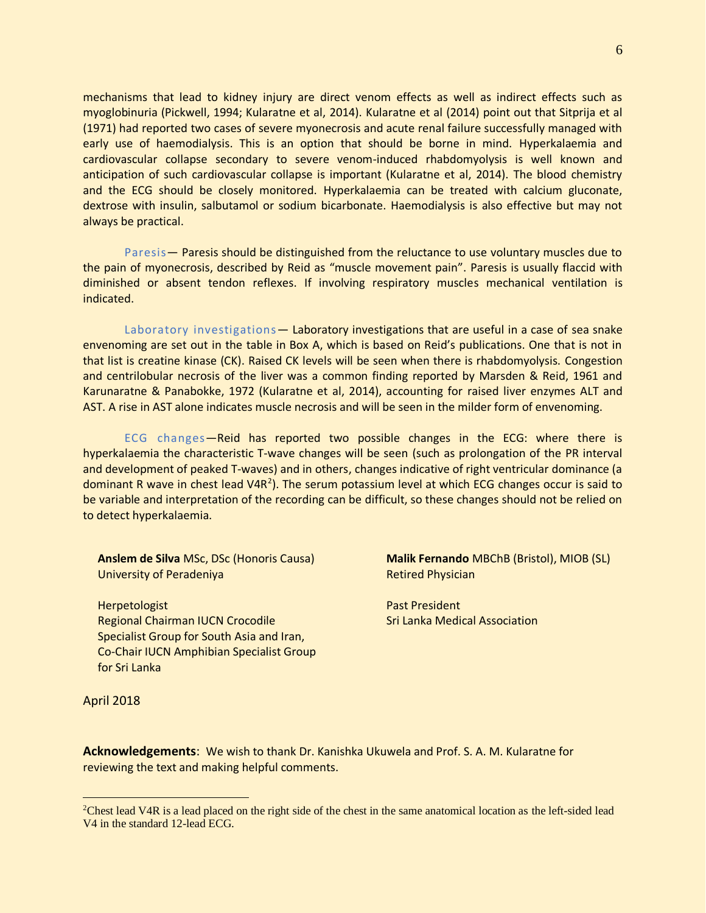mechanisms that lead to kidney injury are direct venom effects as well as indirect effects such as myoglobinuria (Pickwell, 1994; Kularatne et al, 2014). Kularatne et al (2014) point out that Sitprija et al (1971) had reported two cases of severe myonecrosis and acute renal failure successfully managed with early use of haemodialysis. This is an option that should be borne in mind. Hyperkalaemia and cardiovascular collapse secondary to severe venom-induced rhabdomyolysis is well known and anticipation of such cardiovascular collapse is important (Kularatne et al, 2014). The blood chemistry and the ECG should be closely monitored. Hyperkalaemia can be treated with calcium gluconate, dextrose with insulin, salbutamol or sodium bicarbonate. Haemodialysis is also effective but may not always be practical.

Paresis— Paresis should be distinguished from the reluctance to use voluntary muscles due to the pain of myonecrosis, described by Reid as "muscle movement pain". Paresis is usually flaccid with diminished or absent tendon reflexes. If involving respiratory muscles mechanical ventilation is indicated.

Laboratory investigations - Laboratory investigations that are useful in a case of sea snake envenoming are set out in the table in Box A, which is based on Reid's publications. One that is not in that list is creatine kinase (CK). Raised CK levels will be seen when there is rhabdomyolysis. Congestion and centrilobular necrosis of the liver was a common finding reported by Marsden & Reid, 1961 and Karunaratne & Panabokke, 1972 (Kularatne et al, 2014), accounting for raised liver enzymes ALT and AST. A rise in AST alone indicates muscle necrosis and will be seen in the milder form of envenoming.

ECG changes—Reid has reported two possible changes in the ECG: where there is hyperkalaemia the characteristic T-wave changes will be seen (such as prolongation of the PR interval and development of peaked T-waves) and in others, changes indicative of right ventricular dominance (a dominant R wave in chest lead V4R<sup>2</sup>). The serum potassium level at which ECG changes occur is said to be variable and interpretation of the recording can be difficult, so these changes should not be relied on to detect hyperkalaemia.

**Anslem de Silva** MSc, DSc (Honoris Causa) University of Peradeniya

**Herpetologist** Regional Chairman IUCN Crocodile Specialist Group for South Asia and Iran, Co-Chair IUCN Amphibian Specialist Group for Sri Lanka

**Malik Fernando** MBChB (Bristol), MIOB (SL) Retired Physician

Past President Sri Lanka Medical Association

April 2018

 $\overline{a}$ 

**Acknowledgements**: We wish to thank Dr. Kanishka Ukuwela and Prof. S. A. M. Kularatne for reviewing the text and making helpful comments.

<sup>&</sup>lt;sup>2</sup>Chest lead V4R is a lead placed on the right side of the chest in the same anatomical location as the left-sided lead V4 in the standard 12-lead ECG.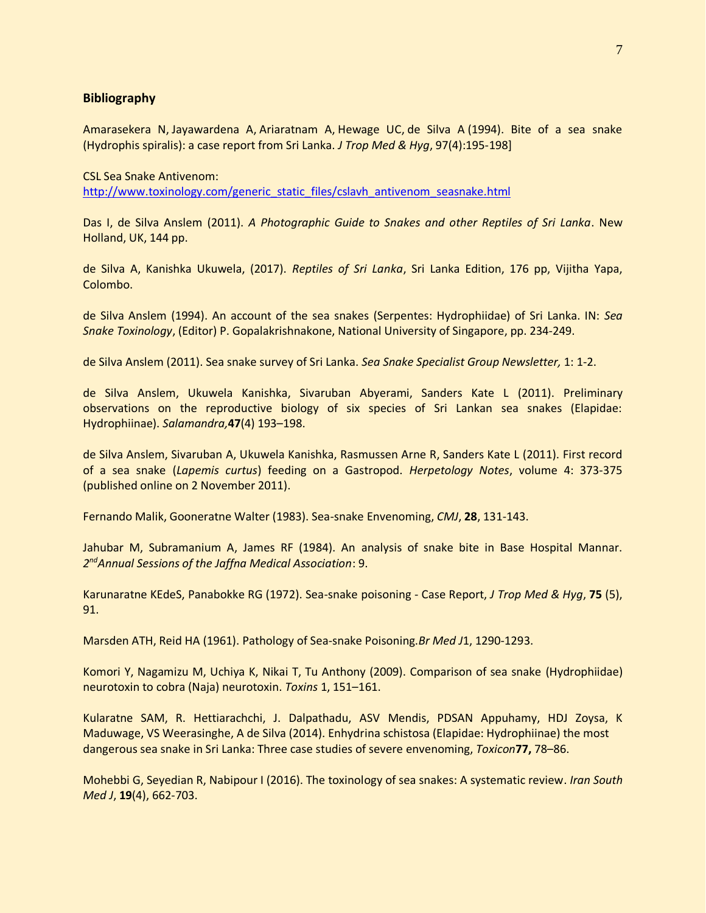#### **Bibliography**

[Amarasekera N,](http://europepmc.org/search;jsessionid=F5FAAB806036B2EE114C2745842B4C91?query=AUTH:%22Amarasekera+N%22&page=1) [Jayawardena A,](http://europepmc.org/search;jsessionid=F5FAAB806036B2EE114C2745842B4C91?query=AUTH:%22Jayawardena+A%22&page=1) [Ariaratnam A,](http://europepmc.org/search;jsessionid=F5FAAB806036B2EE114C2745842B4C91?query=AUTH:%22Ariyaratnam+A%22&page=1) [Hewage UC,](http://europepmc.org/search;jsessionid=F5FAAB806036B2EE114C2745842B4C91?query=AUTH:%22Hewage+UC%22&page=1) [de Silva A](http://europepmc.org/search;jsessionid=F5FAAB806036B2EE114C2745842B4C91?query=AUTH:%22de+Silva+A%22&page=1) (1994). Bite of a sea snake (Hydrophis spiralis): a case report from Sri Lanka. *J Trop Med & Hyg*, 97(4):195-198]

CSL Sea Snake Antivenom: [http://www.toxinology.com/generic\\_static\\_files/cslavh\\_antivenom\\_seasnake.html](http://www.toxinology.com/generic_static_files/cslavh_antivenom_seasnake.html)

Das I, de Silva Anslem (2011). *A Photographic Guide to Snakes and other Reptiles of Sri Lanka*. New Holland, UK, 144 pp.

de Silva A, Kanishka Ukuwela, (2017). *Reptiles of Sri Lanka*, Sri Lanka Edition, 176 pp, Vijitha Yapa, Colombo.

de Silva Anslem (1994). An account of the sea snakes (Serpentes: Hydrophiidae) of Sri Lanka. IN: *Sea Snake Toxinology*, (Editor) P. Gopalakrishnakone, National University of Singapore, pp. 234-249.

de Silva Anslem (2011). Sea snake survey of Sri Lanka. *Sea Snake Specialist Group Newsletter,* 1: 1-2.

de Silva Anslem, Ukuwela Kanishka, Sivaruban Abyerami, Sanders Kate L (2011). Preliminary observations on the reproductive biology of six species of Sri Lankan sea snakes (Elapidae: Hydrophiinae). *Salamandra,***47**(4) 193–198.

de Silva Anslem, Sivaruban A, Ukuwela Kanishka, Rasmussen Arne R, Sanders Kate L (2011). First record of a sea snake (*Lapemis curtus*) feeding on a Gastropod. *Herpetology Notes*, volume 4: 373-375 (published online on 2 November 2011).

Fernando Malik, Gooneratne Walter (1983). Sea-snake Envenoming, *CMJ*, **28**, 131-143.

Jahubar M, Subramanium A, James RF (1984). An analysis of snake bite in Base Hospital Mannar. *2 ndAnnual Sessions of the Jaffna Medical Association*: 9.

Karunaratne KEdeS, Panabokke RG (1972). Sea-snake poisoning - Case Report, *J Trop Med & Hyg*, **75** (5), 91.

Marsden ATH, Reid HA (1961). Pathology of Sea-snake Poisoning.*Br Med J*1, 1290-1293.

Komori Y, Nagamizu M, Uchiya K, Nikai T, Tu Anthony (2009). Comparison of sea snake (Hydrophiidae) neurotoxin to cobra (Naja) neurotoxin. *Toxins* 1, 151–161.

Kularatne SAM, R. Hettiarachchi, J. Dalpathadu, ASV Mendis, PDSAN Appuhamy, HDJ Zoysa, K Maduwage, VS Weerasinghe, A de Silva (2014). Enhydrina schistosa (Elapidae: Hydrophiinae) the most dangerous sea snake in Sri Lanka: Three case studies of severe envenoming, *Toxicon***77,** 78–86.

Mohebbi G, Seyedian R, Nabipour I (2016)[. The toxinology of sea snakes: A systematic review.](http://ismj.bpums.ac.ir/article-1-822-en.pdf) *[Iran South](http://ismj.bpums.ac.ir/browse.php?mag_id=50&slc_lang=en&sid=1)  Med J*, **19**(4), [662-703.](http://ismj.bpums.ac.ir/browse.php?mag_id=50&slc_lang=en&sid=1)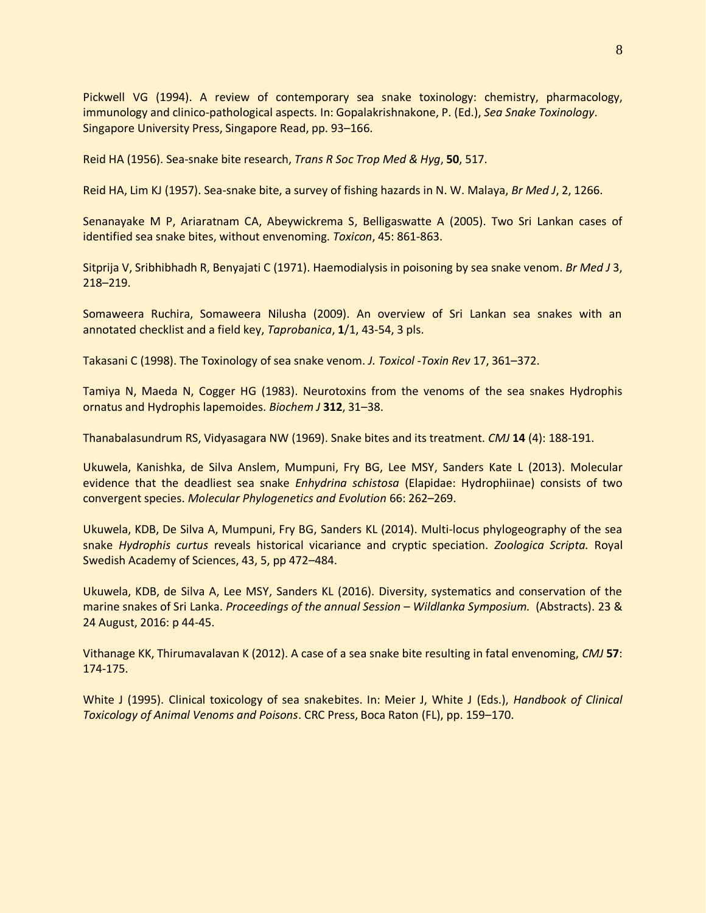Pickwell VG (1994). A review of contemporary sea snake toxinology: chemistry, pharmacology, immunology and clinico-pathological aspects. In: Gopalakrishnakone, P. (Ed.), *Sea Snake Toxinology*. Singapore University Press, Singapore Read, pp. 93–166.

Reid HA (1956). Sea-snake bite research, *Trans R Soc Trop Med & Hyg*, **50**, 517.

Reid HA, Lim KJ (1957). Sea-snake bite, a survey of fishing hazards in N. W. Malaya, *Br Med J*, 2, 1266.

Senanayake M P, Ariaratnam CA, Abeywickrema S, Belligaswatte A (2005). Two Sri Lankan cases of identified sea snake bites, without envenoming. *Toxicon*, 45: 861-863.

Sitprija V, Sribhibhadh R, Benyajati C (1971). Haemodialysis in poisoning by sea snake venom. *Br Med J* 3, 218–219.

Somaweera Ruchira, Somaweera Nilusha (2009). An overview of Sri Lankan sea snakes with an annotated checklist and a field key, *Taprobanica*, **1**/1, 43-54, 3 pls.

Takasani C (1998). The Toxinology of sea snake venom. *J. Toxicol* -*Toxin Rev* 17, 361–372.

Tamiya N, Maeda N, Cogger HG (1983). Neurotoxins from the venoms of the sea snakes Hydrophis ornatus and Hydrophis lapemoides. *Biochem J* **312**, 31–38.

Thanabalasundrum RS, Vidyasagara NW (1969). Snake bites and its treatment. *CMJ* **14** (4): 188-191.

Ukuwela, Kanishka, de Silva Anslem, Mumpuni, Fry BG, Lee MSY, Sanders Kate L (2013). Molecular evidence that the deadliest sea snake *Enhydrina schistosa* (Elapidae: Hydrophiinae) consists of two convergent species. *Molecular Phylogenetics and Evolution* 66: 262–269.

Ukuwela, KDB, De Silva A, Mumpuni, Fry BG, Sanders KL (2014). Multi-locus phylogeography of the sea snake *Hydrophis curtus* reveals historical vicariance and cryptic speciation. *Zoologica Scripta.* Royal Swedish Academy of Sciences, 43, 5, pp 472–484.

Ukuwela, KDB, de Silva A, Lee MSY, Sanders KL (2016). Diversity, systematics and conservation of the marine snakes of Sri Lanka. *Proceedings of the annual Session* – *Wildlanka Symposium.* (Abstracts). 23 & 24 August, 2016: p 44-45.

Vithanage KK, Thirumavalavan K (2012). A case of a sea snake bite resulting in fatal envenoming, *CMJ* **57**: 174-175.

White J (1995). Clinical toxicology of sea snakebites. In: Meier J, White J (Eds.), *Handbook of Clinical Toxicology of Animal Venoms and Poisons*. CRC Press, Boca Raton (FL), pp. 159–170.